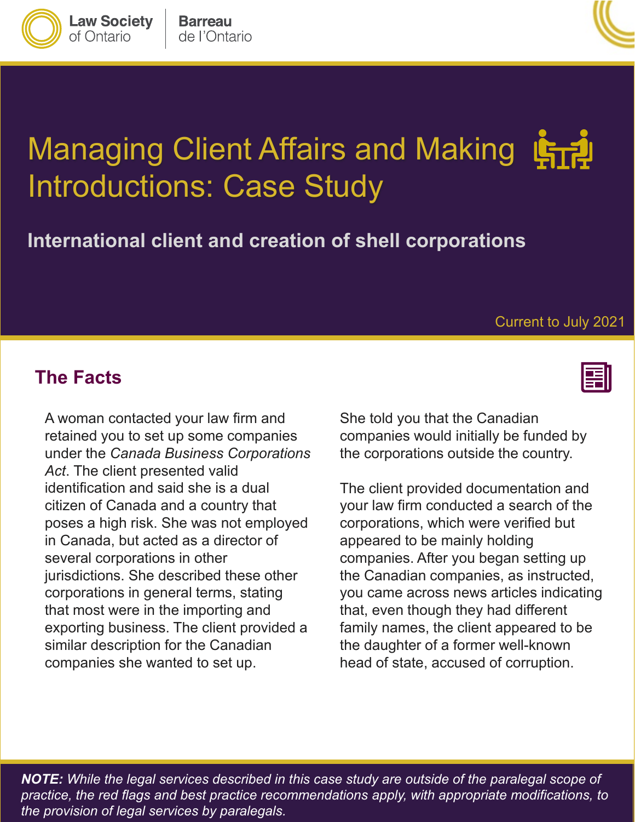# Managing Client Affairs and Making 1577 Introductions: Case Study

**International client and creation of shell corporations** 

#### **The Facts**

 A woman contacted your law firm and *Act*. The client presented valid poses a high risk. She was not employed that most were in the importing and companies she wanted to set up. retained you to set up some companies under the *Canada Business Corporations*  identification and said she is a dual citizen of Canada and a country that in Canada, but acted as a director of several corporations in other jurisdictions. She described these other corporations in general terms, stating exporting business. The client provided a similar description for the Canadian

She told you that the Canadian companies would initially be funded by the corporations outside the country.

 your law firm conducted a search of the the daughter of a former well-known head of state, accused of corruption. The client provided documentation and corporations, which were verified but appeared to be mainly holding companies. After you began setting up the Canadian companies, as instructed, you came across news articles indicating that, even though they had different family names, the client appeared to be

 *NOTE: While the legal services described in this case study are outside of the paralegal scope of practice, the red flags and best practice recommendations apply, with appropriate modifications, to the provision of legal services by paralegals.* 



Current to July 2021



**Law Society** 

of Ontario

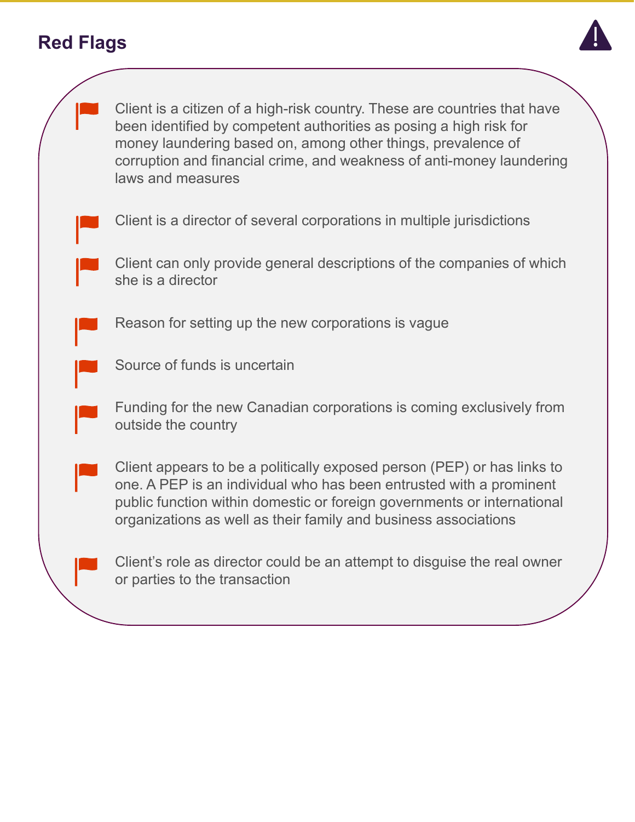### **Red Flags**



one. A PEP is an individual who has been entrusted with a prominent public function within domestic or foreign governments or international organizations as well as their family and business associations

Client's role as director could be an attempt to disguise the real owner or parties to the transaction